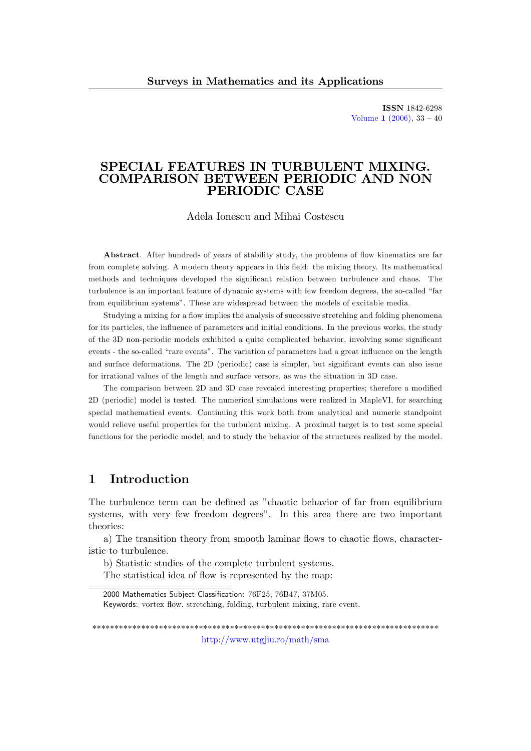ISSN 1842-6298 [Volume](http://www.utgjiu.ro/math/sma/v01/v01.html)  $1 (2006), 33 - 40$ 

# SPECIAL FEATURES IN TURBULENT MIXING. COMPARISON BETWEEN PERIODIC AND NON PERIODIC CASE

Adela Ionescu and Mihai Costescu

Abstract. After hundreds of years of stability study, the problems of flow kinematics are far from complete solving. A modern theory appears in this field: the mixing theory. Its mathematical methods and techniques developed the significant relation between turbulence and chaos. The turbulence is an important feature of dynamic systems with few freedom degrees, the so-called "far from equilibrium systems". These are widespread between the models of excitable media.

Studying a mixing for a flow implies the analysis of successive stretching and folding phenomena for its particles, the influence of parameters and initial conditions. In the previous works, the study of the 3D non-periodic models exhibited a quite complicated behavior, involving some significant events - the so-called "rare events". The variation of parameters had a great influence on the length and surface deformations. The 2D (periodic) case is simpler, but significant events can also issue for irrational values of the length and surface versors, as was the situation in 3D case.

The comparison between 2D and 3D case revealed interesting properties; therefore a modified 2D (periodic) model is tested. The numerical simulations were realized in MapleVI, for searching special mathematical events. Continuing this work both from analytical and numeric standpoint would relieve useful properties for the turbulent mixing. A proximal target is to test some special functions for the periodic model, and to study the behavior of the structures realized by the model.

## 1 Introduction

The turbulence term can be defined as "chaotic behavior of far from equilibrium systems, with very few freedom degrees". In this area there are two important theories:

a) The transition theory from smooth laminar flows to chaotic flows, characteristic to turbulence.

b) Statistic studies of the complete turbulent systems. The statistical idea of flow is represented by the map:

\*\*\*\*\*\*\*\*\*\*\*\*\*\*\*\*\*\*\*\*\*\*\*\*\*\*\*\*\*\*\*\*\*\*\*\*\*\*\*\*\*\*\*\*\*\*\*\*\*\*\*\*\*\*\*\*\*\*\*\*\*\*\*\*\*\*\*\*\*\*\*\*\*\*\*\*\*\*

<http://www.utgjiu.ro/math/sma>

<sup>2000</sup> Mathematics Subject Classification: 76F25, 76B47, 37M05. Keywords: vortex flow, stretching, folding, turbulent mixing, rare event.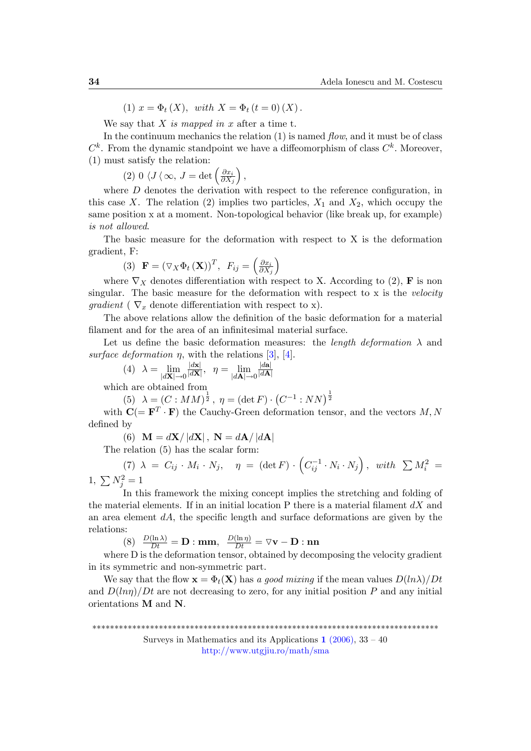(1)  $x = \Phi_t(X)$ , with  $X = \Phi_t (t = 0) (X)$ .

We say that  $X$  is mapped in  $x$  after a time t.

In the continuum mechanics the relation  $(1)$  is named *flow*, and it must be of class  $C^k$ . From the dynamic standpoint we have a diffeomorphism of class  $C^k$ . Moreover, (1) must satisfy the relation:

(2)  $0 \langle J \langle \infty, J = \det \left( \frac{\partial x_i}{\partial X_i} \right) \rangle$  $\partial X_j$  $\bigg),$ 

where  $D$  denotes the derivation with respect to the reference configuration, in this case X. The relation (2) implies two particles,  $X_1$  and  $X_2$ , which occupy the same position x at a moment. Non-topological behavior (like break up, for example) is not allowed.

The basic measure for the deformation with respect to X is the deformation gradient, F:

(3) 
$$
\mathbf{F} = (\nabla_X \Phi_t(\mathbf{X}))^T
$$
,  $F_{ij} = \left(\frac{\partial x_i}{\partial X_j}\right)$ 

where  $\nabla_X$  denotes differentiation with respect to X. According to (2), **F** is non singular. The basic measure for the deformation with respect to  $x$  is the *velocity* gradient ( $\nabla_x$  denote differentiation with respect to x).

The above relations allow the definition of the basic deformation for a material filament and for the area of an infinitesimal material surface.

Let us define the basic deformation measures: the *length deformation*  $\lambda$  and surface deformation  $\eta$ , with the relations [\[3\]](#page-7-0), [\[4\]](#page-7-1).

$$
(4) \quad \lambda = \lim_{|d\mathbf{X}| \to 0} \frac{|d\mathbf{x}|}{|d\mathbf{X}|}, \quad \eta = \lim_{|d\mathbf{A}| \to 0} \frac{|d\mathbf{a}|}{|d\mathbf{A}|}
$$

which are obtained from

(5) 
$$
\lambda = (C : MM)^{\frac{1}{2}}
$$
,  $\eta = (\det F) \cdot (C^{-1} : NN)^{\frac{1}{2}}$ 

with  $\mathbf{C} (=\mathbf{F}^T \cdot \mathbf{F})$  the Cauchy-Green deformation tensor, and the vectors  $M, N$ defined by

(6)  $\mathbf{M} = d\mathbf{X}/|d\mathbf{X}|$ ,  $\mathbf{N} = d\mathbf{A}/|d\mathbf{A}|$ 

The relation (5) has the scalar form:

(7) 
$$
\lambda = C_{ij} \cdot M_i \cdot N_j
$$
,  $\eta = (\det F) \cdot (C_{ij}^{-1} \cdot N_i \cdot N_j)$ , with  $\sum M_i^2 = 1$ ,  $\sum N_j^2 = 1$ 

In this framework the mixing concept implies the stretching and folding of the material elements. If in an initial location  $P$  there is a material filament  $dX$  and an area element  $dA$ , the specific length and surface deformations are given by the relations:

(8)  $\frac{D(\ln \lambda)}{Dt} = \mathbf{D} : \mathbf{m}\mathbf{m}, \quad \frac{D(\ln \eta)}{Dt} = \nabla \mathbf{v} - \mathbf{D} : \mathbf{n}\mathbf{n}$ 

where D is the deformation tensor, obtained by decomposing the velocity gradient in its symmetric and non-symmetric part.

We say that the flow  $\mathbf{x} = \Phi_t(\mathbf{X})$  has a good mixing if the mean values  $D(ln\lambda)/Dt$ and  $D(\ln n)/Dt$  are not decreasing to zero, for any initial position P and any initial orientations M and N.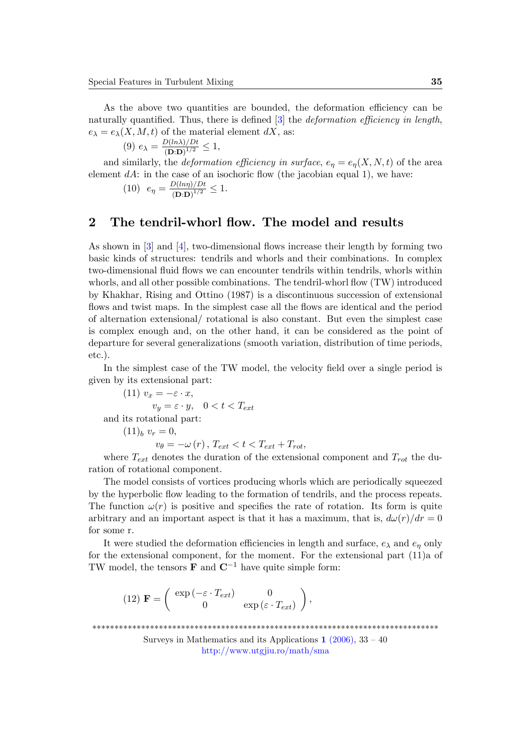As the above two quantities are bounded, the deformation efficiency can be naturally quantified. Thus, there is defined  $[3]$  the *deformation efficiency in length*,  $e_{\lambda} = e_{\lambda}(X, M, t)$  of the material element dX, as:

$$
(9) e_{\lambda} = \frac{D(ln\lambda)/Dt}{(D:D)^{1/2}} \le 1,
$$

and similarly, the *deformation efficiency in surface*,  $e_n = e_n(X, N, t)$  of the area element  $dA$ : in the case of an isochoric flow (the jacobian equal 1), we have:

(10) 
$$
e_{\eta} = \frac{D(ln\eta)/Dt}{(D:D)^{1/2}} \le 1.
$$

## 2 The tendril-whorl flow. The model and results

As shown in  $[3]$  and  $[4]$ , two-dimensional flows increase their length by forming two basic kinds of structures: tendrils and whorls and their combinations. In complex two-dimensional fluid flows we can encounter tendrils within tendrils, whorls within whorls, and all other possible combinations. The tendril-whorl flow (TW) introduced by Khakhar, Rising and Ottino (1987) is a discontinuous succession of extensional flows and twist maps. In the simplest case all the flows are identical and the period of alternation extensional/ rotational is also constant. But even the simplest case is complex enough and, on the other hand, it can be considered as the point of departure for several generalizations (smooth variation, distribution of time periods, etc.).

In the simplest case of the TW model, the velocity field over a single period is given by its extensional part:

(11)  $v_x = -\varepsilon \cdot x$ ,  $v_y = \varepsilon \cdot y$ ,  $0 < t < T_{ext}$ and its rotational part:  $(11)_b v_r = 0$ ,  $v_{\theta} = -\omega(r)$ ,  $T_{ext} < t < T_{ext} + T_{rot}$ ,

where  $T_{ext}$  denotes the duration of the extensional component and  $T_{rot}$  the duration of rotational component.

The model consists of vortices producing whorls which are periodically squeezed by the hyperbolic áow leading to the formation of tendrils, and the process repeats. The function  $\omega(r)$  is positive and specifies the rate of rotation. Its form is quite arbitrary and an important aspect is that it has a maximum, that is,  $d\omega(r)/dr = 0$ for some r.

It were studied the deformation efficiencies in length and surface,  $e_{\lambda}$  and  $e_{\eta}$  only for the extensional component, for the moment. For the extensional part (11)a of TW model, the tensors **F** and  $\mathbb{C}^{-1}$  have quite simple form:

(12) 
$$
\mathbf{F} = \begin{pmatrix} \exp(-\varepsilon \cdot T_{ext}) & 0 \\ 0 & \exp(\varepsilon \cdot T_{ext}) \end{pmatrix}
$$
,

<sup>\*\*\*\*\*\*\*\*\*\*\*\*\*\*\*\*\*\*\*\*\*\*\*\*\*\*\*\*\*\*\*\*\*\*\*\*\*\*\*\*\*\*\*\*\*\*\*\*\*\*\*\*\*\*\*\*\*\*\*\*\*\*\*\*\*\*\*\*\*\*\*\*\*\*\*\*\*\*</sup>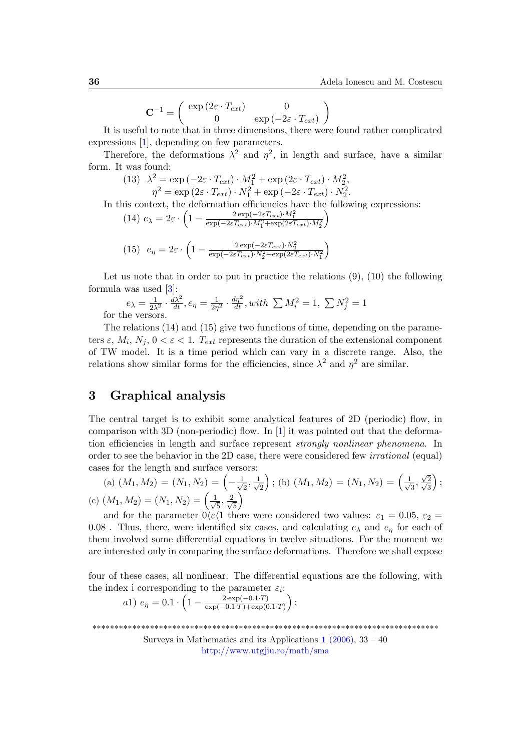$$
\mathbf{C}^{-1} = \left( \begin{array}{cc} \exp\left(2\varepsilon \cdot T_{ext}\right) & 0\\ 0 & \exp\left(-2\varepsilon \cdot T_{ext}\right) \end{array} \right)
$$

It is useful to note that in three dimensions, there were found rather complicated expressions [\[1\]](#page-7-2), depending on few parameters.

Therefore, the deformations  $\lambda^2$  and  $\eta^2$ , in length and surface, have a similar form. It was found:

(13) 
$$
\lambda^2 = \exp(-2\varepsilon \cdot T_{ext}) \cdot M_1^2 + \exp(2\varepsilon \cdot T_{ext}) \cdot M_2^2,
$$

$$
\eta^2 = \exp(2\varepsilon \cdot T_{ext}) \cdot N_1^2 + \exp(-2\varepsilon \cdot T_{ext}) \cdot N_2^2.
$$

In this context, the deformation efficiencies have the following expressions:

(14) 
$$
e_{\lambda} = 2\varepsilon \cdot \left(1 - \frac{2 \exp(-2\varepsilon T_{ext}) \cdot M_1^2}{\exp(-2\varepsilon T_{ext}) \cdot M_1^2 + \exp(2\varepsilon T_{ext}) \cdot M_2^2}\right)
$$
  
\n(15)  $e_{\eta} = 2\varepsilon \cdot \left(1 - \frac{2 \exp(-2\varepsilon T_{ext}) \cdot N_2^2}{\exp(-2\varepsilon T_{ext}) \cdot N_2^2 + \exp(2\varepsilon T_{ext}) \cdot N_1^2}\right)$ 

Let us note that in order to put in practice the relations  $(9)$ ,  $(10)$  the following formula was used [\[3\]](#page-7-0):

$$
e_{\lambda} = \frac{1}{2\lambda^2} \cdot \frac{d\lambda^2}{dt}, e_{\eta} = \frac{1}{2\eta^2} \cdot \frac{d\eta^2}{dt}, with \sum M_i^2 = 1, \sum N_j^2 = 1
$$
he versus

for t

The relations (14) and (15) give two functions of time, depending on the parameters  $\varepsilon, M_i, N_j, 0 < \varepsilon < 1$ . T<sub>ext</sub> represents the duration of the extensional component of TW model. It is a time period which can vary in a discrete range. Also, the relations show similar forms for the efficiencies, since  $\lambda^2$  and  $\eta^2$  are similar.

# 3 Graphical analysis

The central target is to exhibit some analytical features of 2D (periodic) flow, in comparison with 3D (non-periodic) flow. In  $[1]$  it was pointed out that the deformation efficiencies in length and surface represent strongly nonlinear phenomena. In order to see the behavior in the 2D case, there were considered few irrational (equal) cases for the length and surface versors:

(a) 
$$
(M_1, M_2) = (N_1, N_2) = \left(-\frac{1}{\sqrt{2}}, \frac{1}{\sqrt{2}}\right)
$$
; (b)  $(M_1, M_2) = (N_1, N_2) = \left(\frac{1}{\sqrt{3}}, \frac{\sqrt{2}}{\sqrt{3}}\right)$ ;  
(c)  $(M_1, M_2) = (N_1, N_2) = \left(\frac{1}{\sqrt{5}}, \frac{2}{\sqrt{5}}\right)$ 

and for the parameter  $0 \ll 1$  there were considered two values:  $\varepsilon_1 = 0.05$ ,  $\varepsilon_2 =$ 0.08. Thus, there, were identified six cases, and calculating  $e_{\lambda}$  and  $e_{\eta}$  for each of them involved some differential equations in twelve situations. For the moment we are interested only in comparing the surface deformations. Therefore we shall expose

four of these cases, all nonlinear. The differential equations are the following, with the index i corresponding to the parameter  $\varepsilon_i$ :

a1) 
$$
e_{\eta} = 0.1 \cdot \left(1 - \frac{2 \cdot \exp(-0.1 \cdot T)}{\exp(-0.1 \cdot T) + \exp(0.1 \cdot T)}\right);
$$

\*\*\*\*\*\*\*\*\*\*\*\*\*\*\*\*\*\*\*\*\*\*\*\*\*\*\*\*\*\*\*\*\*\*\*\*\*\*\*\*\*\*\*\*\*\*\*\*\*\*\*\*\*\*\*\*\*\*\*\*\*\*\*\*\*\*\*\*\*\*\*\*\*\*\*\*\*\*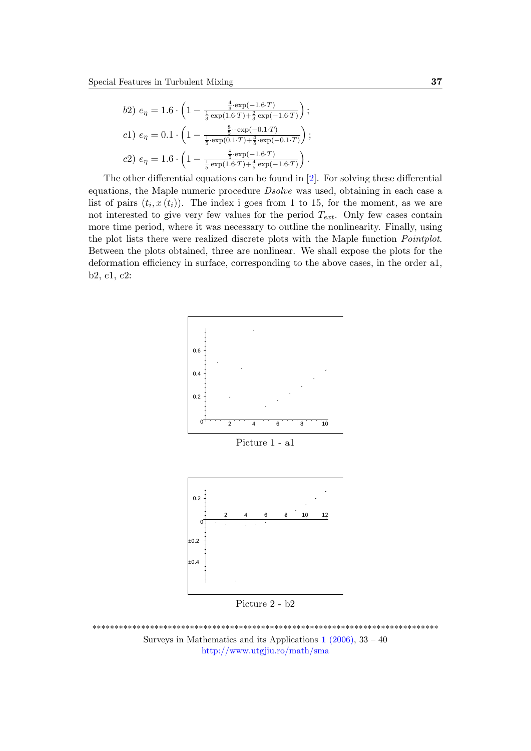$$
b2) e_{\eta} = 1.6 \cdot \left(1 - \frac{\frac{4}{3} \cdot \exp(-1.6 \cdot T)}{\frac{1}{3} \exp(1.6 \cdot T) + \frac{2}{3} \exp(-1.6 \cdot T)}\right);
$$
  
\n
$$
c1) e_{\eta} = 0.1 \cdot \left(1 - \frac{\frac{8}{5} \cdot \exp(-0.1 \cdot T)}{\frac{1}{5} \cdot \exp(0.1 \cdot T) + \frac{4}{5} \cdot \exp(-0.1 \cdot T)}\right);
$$
  
\n
$$
c2) e_{\eta} = 1.6 \cdot \left(1 - \frac{\frac{8}{5} \cdot \exp(-1.6 \cdot T)}{\frac{1}{5} \exp(1.6 \cdot T) + \frac{4}{5} \exp(-1.6 \cdot T)}\right).
$$

The other differential equations can be found in  $[2]$ . For solving these differential equations, the Maple numeric procedure Dsolve was used, obtaining in each case a list of pairs  $(t_i, x(t_i))$ . The index i goes from 1 to 15, for the moment, as we are not interested to give very few values for the period  $T_{ext}$ . Only few cases contain more time period, where it was necessary to outline the nonlinearity. Finally, using the plot lists there were realized discrete plots with the Maple function Pointplot. Between the plots obtained, three are nonlinear. We shall expose the plots for the deformation efficiency in surface, corresponding to the above cases, in the order  $a_1$ , b2, c1, c2:



Picture 2 - b2

\*\*\*\*\*\*\*\*\*\*\*\*\*\*\*\*\*\*\*\*\*\*\*\*\*\*\*\*\*\*\*\*\*\*\*\*\*\*\*\*\*\*\*\*\*\*\*\*\*\*\*\*\*\*\*\*\*\*\*\*\*\*\*\*\*\*\*\*\*\*\*\*\*\*\*\*\*\* Surveys in Mathematics and its Applications  $1$  [\(2006\),](http://www.utgjiu.ro/math/sma/v01/v01.html) 33 – 40 <http://www.utgjiu.ro/math/sma>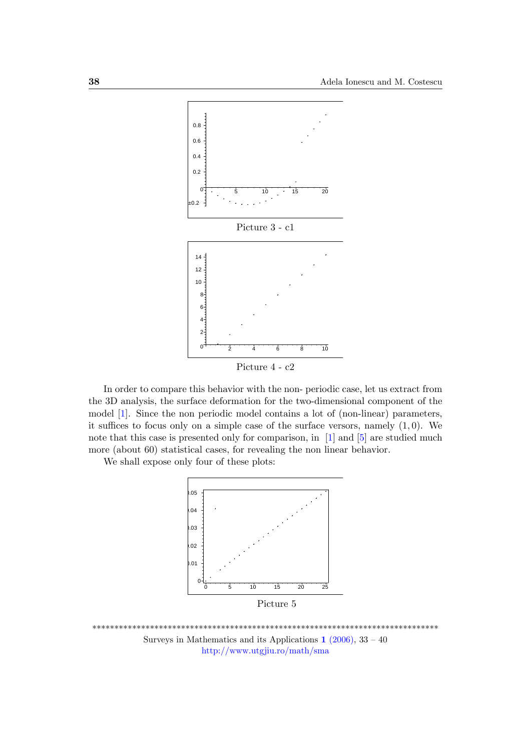

In order to compare this behavior with the non-periodic case, let us extract from the 3D analysis, the surface deformation for the two-dimensional component of the model [1]. Since the non periodic model contains a lot of (non-linear) parameters, it suffices to focus only on a simple case of the surface versors, namely  $(1,0)$ . We note that this case is presented only for comparison, in [1] and [5] are studied much more (about 60) statistical cases, for revealing the non linear behavior.

We shall expose only four of these plots:



Surveys in Mathematics and its Applications  $1(2006)$ ,  $33-40$ http://www.utgjiu.ro/math/sma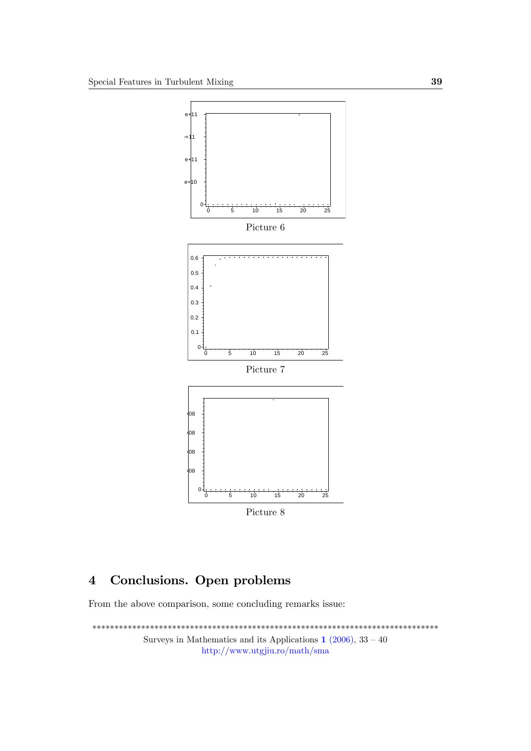

#### Conclusions. Open problems  $\overline{\mathbf{4}}$

From the above comparison, some concluding remarks issue: